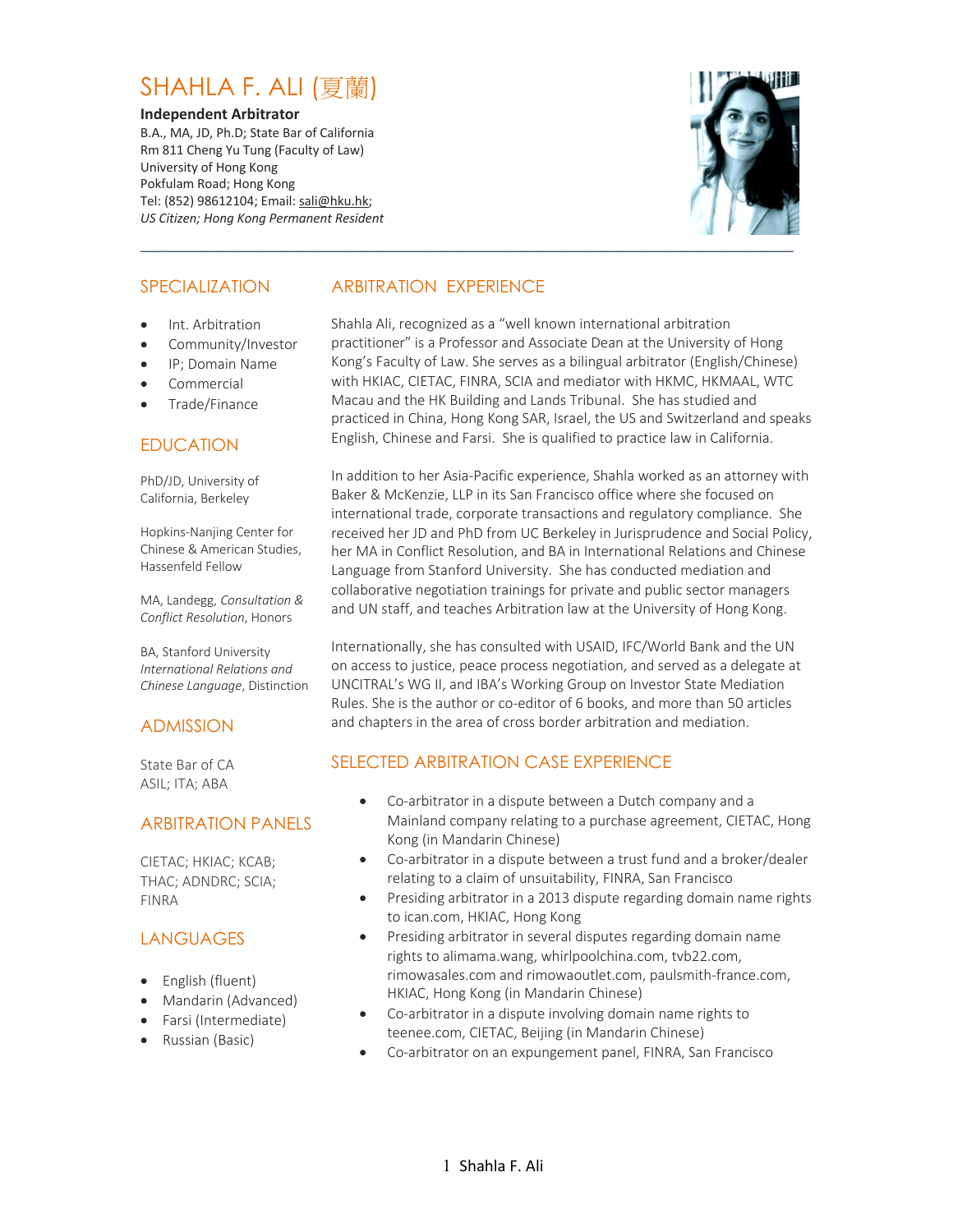# SHAHLA F. ALI (夏蘭)

#### **Independent Arbitrator**

B.A., MA, JD, Ph.D; State Bar of California Rm 811 Cheng Yu Tung (Faculty of Law) University of Hong Kong Pokfulam Road; Hong Kong Tel: (852) 98612104; Email: sali@hku.hk; *US Citizen; Hong Kong Permanent Resident*



# SPECIALIZATION

- Int. Arbitration
- Community/Investor
- IP; Domain Name
- Commercial
- Trade/Finance

# EDUCATION

PhD/JD, University of California, Berkeley

Hopkins-Nanjing Center for Chinese & American Studies, Hassenfeld Fellow

MA, Landegg, *Consultation & Conflict Resolution*, Honors

BA, Stanford University *International Relations and Chinese Language*, Distinction

## ADMISSION

State Bar of CA ASIL; ITA; ABA

## ARBITRATION PANELS

CIETAC; HKIAC; KCAB; THAC; ADNDRC; SCIA; FINRA

## **LANGUAGES**

- English (fluent)
- Mandarin (Advanced)
- Farsi (Intermediate)
- Russian (Basic)

# ARBITRATION EXPERIENCE

Shahla Ali, recognized as a "well known international arbitration practitioner" is a Professor and Associate Dean at the University of Hong Kong's Faculty of Law. She serves as a bilingual arbitrator (English/Chinese) with HKIAC, CIETAC, FINRA, SCIA and mediator with HKMC, HKMAAL, WTC Macau and the HK Building and Lands Tribunal. She has studied and practiced in China, Hong Kong SAR, Israel, the US and Switzerland and speaks English, Chinese and Farsi. She is qualified to practice law in California.

In addition to her Asia-Pacific experience, Shahla worked as an attorney with Baker & McKenzie, LLP in its San Francisco office where she focused on international trade, corporate transactions and regulatory compliance. She received her JD and PhD from UC Berkeley in Jurisprudence and Social Policy, her MA in Conflict Resolution, and BA in International Relations and Chinese Language from Stanford University. She has conducted mediation and collaborative negotiation trainings for private and public sector managers and UN staff, and teaches Arbitration law at the University of Hong Kong.

Internationally, she has consulted with USAID, IFC/World Bank and the UN on access to justice, peace process negotiation, and served as a delegate at UNCITRAL's WG II, and IBA's Working Group on Investor State Mediation Rules. She is the author or co-editor of 6 books, and more than 50 articles and chapters in the area of cross border arbitration and mediation.

# SELECTED ARBITRATION CASE EXPERIENCE

- Co-arbitrator in a dispute between a Dutch company and a Mainland company relating to a purchase agreement, CIETAC, Hong Kong (in Mandarin Chinese)
- Co-arbitrator in a dispute between a trust fund and a broker/dealer relating to a claim of unsuitability, FINRA, San Francisco
- Presiding arbitrator in a 2013 dispute regarding domain name rights to ican.com, HKIAC, Hong Kong
- Presiding arbitrator in several disputes regarding domain name rights to alimama.wang, whirlpoolchina.com, tvb22.com, rimowasales.com and rimowaoutlet.com, paulsmith-france.com, HKIAC, Hong Kong (in Mandarin Chinese)
- Co-arbitrator in a dispute involving domain name rights to teenee.com, CIETAC, Beijing (in Mandarin Chinese)
- Co-arbitrator on an expungement panel, FINRA, San Francisco